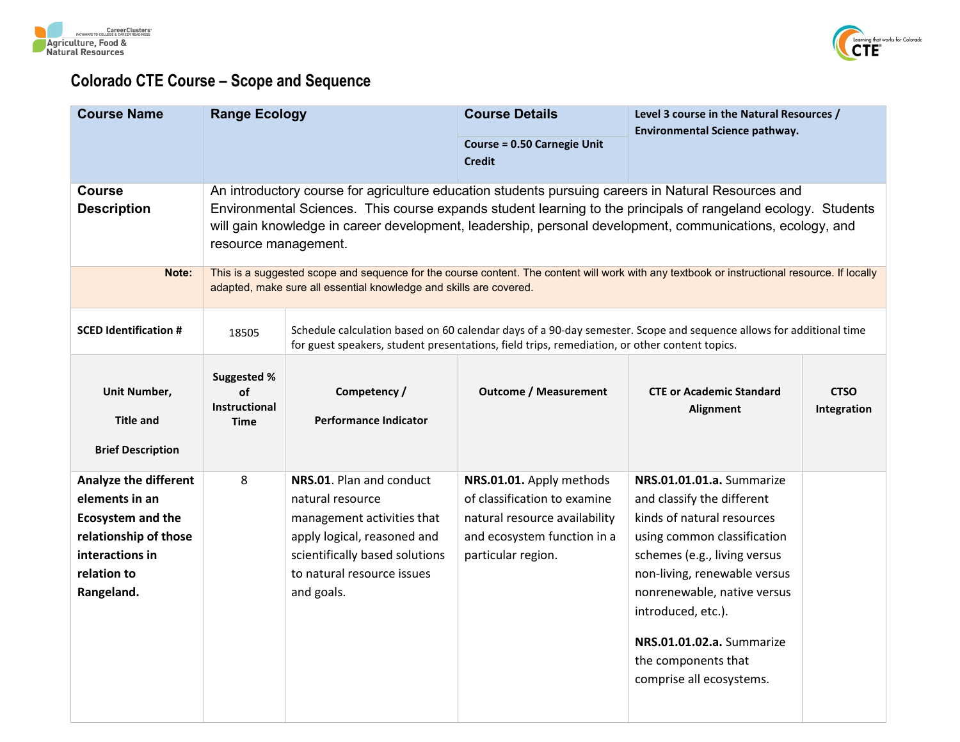



## **Colorado CTE Course – Scope and Sequence**

| <b>Course Name</b>                                                                                                                                  | <b>Range Ecology</b>                              |                                                                                                                                                                                                                                                                                                                                                           | <b>Course Details</b><br><b>Course = 0.50 Carnegie Unit</b><br><b>Credit</b>                                                                   | Level 3 course in the Natural Resources /<br>Environmental Science pathway.                                                                                                                                                                                                                                               |                            |  |  |
|-----------------------------------------------------------------------------------------------------------------------------------------------------|---------------------------------------------------|-----------------------------------------------------------------------------------------------------------------------------------------------------------------------------------------------------------------------------------------------------------------------------------------------------------------------------------------------------------|------------------------------------------------------------------------------------------------------------------------------------------------|---------------------------------------------------------------------------------------------------------------------------------------------------------------------------------------------------------------------------------------------------------------------------------------------------------------------------|----------------------------|--|--|
| <b>Course</b><br><b>Description</b>                                                                                                                 |                                                   | An introductory course for agriculture education students pursuing careers in Natural Resources and<br>Environmental Sciences. This course expands student learning to the principals of rangeland ecology. Students<br>will gain knowledge in career development, leadership, personal development, communications, ecology, and<br>resource management. |                                                                                                                                                |                                                                                                                                                                                                                                                                                                                           |                            |  |  |
| Note:                                                                                                                                               |                                                   | This is a suggested scope and sequence for the course content. The content will work with any textbook or instructional resource. If locally<br>adapted, make sure all essential knowledge and skills are covered.                                                                                                                                        |                                                                                                                                                |                                                                                                                                                                                                                                                                                                                           |                            |  |  |
| <b>SCED Identification #</b>                                                                                                                        | 18505                                             |                                                                                                                                                                                                                                                                                                                                                           | for guest speakers, student presentations, field trips, remediation, or other content topics.                                                  | Schedule calculation based on 60 calendar days of a 90-day semester. Scope and sequence allows for additional time                                                                                                                                                                                                        |                            |  |  |
| Unit Number,<br><b>Title and</b><br><b>Brief Description</b>                                                                                        | Suggested %<br>of<br>Instructional<br><b>Time</b> | Competency /<br><b>Performance Indicator</b>                                                                                                                                                                                                                                                                                                              | <b>Outcome / Measurement</b>                                                                                                                   | <b>CTE or Academic Standard</b><br>Alignment                                                                                                                                                                                                                                                                              | <b>CTSO</b><br>Integration |  |  |
| <b>Analyze the different</b><br>elements in an<br><b>Ecosystem and the</b><br>relationship of those<br>interactions in<br>relation to<br>Rangeland. | 8                                                 | NRS.01. Plan and conduct<br>natural resource<br>management activities that<br>apply logical, reasoned and<br>scientifically based solutions<br>to natural resource issues<br>and goals.                                                                                                                                                                   | NRS.01.01. Apply methods<br>of classification to examine<br>natural resource availability<br>and ecosystem function in a<br>particular region. | NRS.01.01.01.a. Summarize<br>and classify the different<br>kinds of natural resources<br>using common classification<br>schemes (e.g., living versus<br>non-living, renewable versus<br>nonrenewable, native versus<br>introduced, etc.).<br>NRS.01.01.02.a. Summarize<br>the components that<br>comprise all ecosystems. |                            |  |  |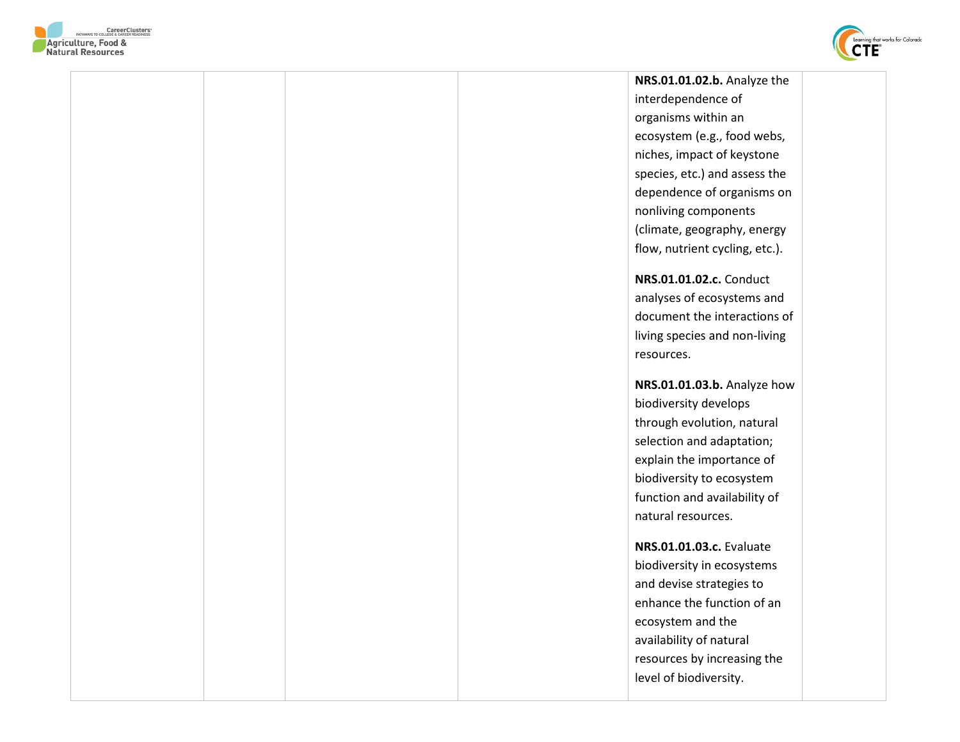



**NRS.01.01.02.b.** Analyze the interdependence of organisms within an ecosystem (e.g., food webs, niches, impact of keystone species, etc.) and assess the dependence of organisms on nonliving components (climate, geography, energy flow, nutrient cycling, etc.). **NRS.01.01.02.c.** Conduct analyses of ecosystems and document the interactions of living species and non-living resources. **NRS.01.01.03.b.** Analyze how biodiversity develops through evolution, natural selection and adaptation; explain the importance of biodiversity to ecosystem function and availability of natural resources. **NRS.01.01.03.c.** Evaluate biodiversity in ecosystems and devise strategies to enhance the function of an ecosystem and the availability of natural resources by increasing the level of biodiversity.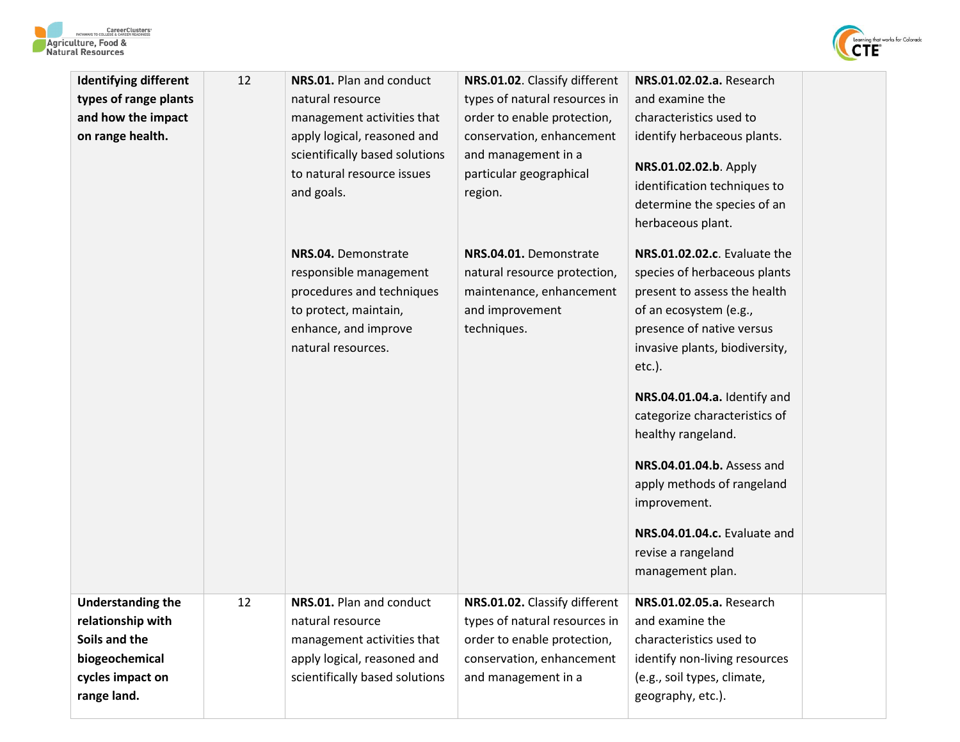



| <b>Identifying different</b><br>types of range plants<br>and how the impact<br>on range health.                     | 12 | NRS.01. Plan and conduct<br>natural resource<br>management activities that<br>apply logical, reasoned and<br>scientifically based solutions<br>to natural resource issues<br>and goals. | NRS.01.02. Classify different<br>types of natural resources in<br>order to enable protection,<br>conservation, enhancement<br>and management in a<br>particular geographical<br>region. | NRS.01.02.02.a. Research<br>and examine the<br>characteristics used to<br>identify herbaceous plants.<br>NRS.01.02.02.b. Apply<br>identification techniques to<br>determine the species of an<br>herbaceous plant.                                                                                                                                                                                                                              |  |
|---------------------------------------------------------------------------------------------------------------------|----|-----------------------------------------------------------------------------------------------------------------------------------------------------------------------------------------|-----------------------------------------------------------------------------------------------------------------------------------------------------------------------------------------|-------------------------------------------------------------------------------------------------------------------------------------------------------------------------------------------------------------------------------------------------------------------------------------------------------------------------------------------------------------------------------------------------------------------------------------------------|--|
|                                                                                                                     |    | NRS.04. Demonstrate<br>responsible management<br>procedures and techniques<br>to protect, maintain,<br>enhance, and improve<br>natural resources.                                       | NRS.04.01. Demonstrate<br>natural resource protection,<br>maintenance, enhancement<br>and improvement<br>techniques.                                                                    | NRS.01.02.02.c. Evaluate the<br>species of herbaceous plants<br>present to assess the health<br>of an ecosystem (e.g.,<br>presence of native versus<br>invasive plants, biodiversity,<br>$etc.$ ).<br>NRS.04.01.04.a. Identify and<br>categorize characteristics of<br>healthy rangeland.<br>NRS.04.01.04.b. Assess and<br>apply methods of rangeland<br>improvement.<br>NRS.04.01.04.c. Evaluate and<br>revise a rangeland<br>management plan. |  |
| <b>Understanding the</b><br>relationship with<br>Soils and the<br>biogeochemical<br>cycles impact on<br>range land. | 12 | NRS.01. Plan and conduct<br>natural resource<br>management activities that<br>apply logical, reasoned and<br>scientifically based solutions                                             | NRS.01.02. Classify different<br>types of natural resources in<br>order to enable protection,<br>conservation, enhancement<br>and management in a                                       | NRS.01.02.05.a. Research<br>and examine the<br>characteristics used to<br>identify non-living resources<br>(e.g., soil types, climate,<br>geography, etc.).                                                                                                                                                                                                                                                                                     |  |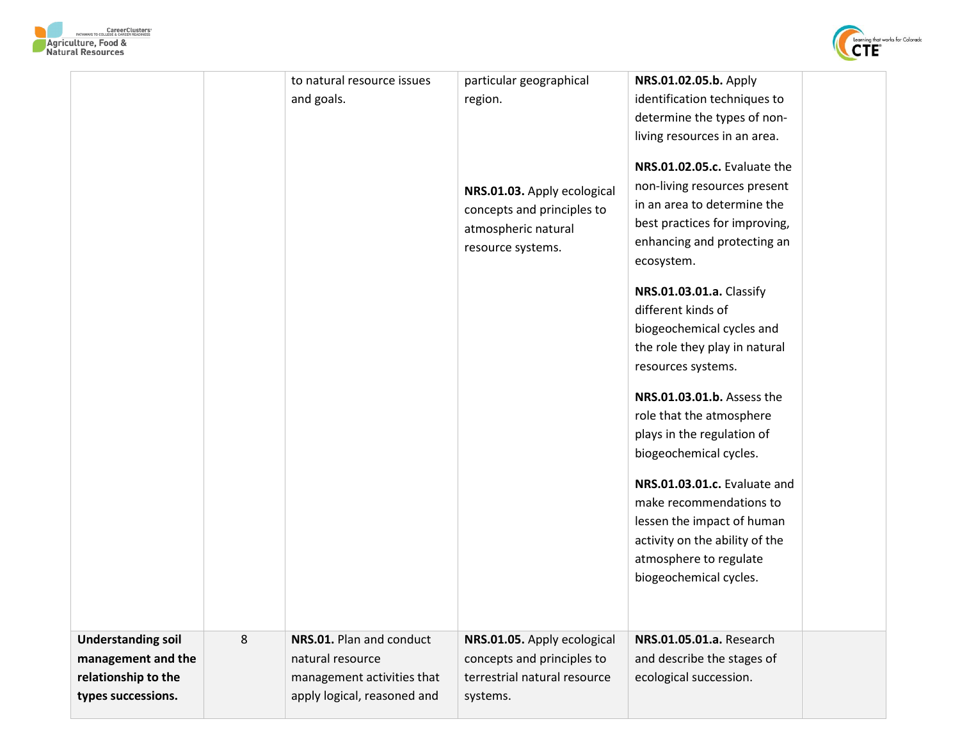



| <b>Understanding soil</b><br>management and the | 8 | NRS.01. Plan and conduct<br>natural resource | NRS.01.05. Apply ecological<br>concepts and principles to                        | NRS.01.03.01.c. Evaluate and<br>make recommendations to<br>lessen the impact of human<br>activity on the ability of the<br>atmosphere to regulate<br>biogeochemical cycles.<br>NRS.01.05.01.a. Research<br>and describe the stages of                              |  |
|-------------------------------------------------|---|----------------------------------------------|----------------------------------------------------------------------------------|--------------------------------------------------------------------------------------------------------------------------------------------------------------------------------------------------------------------------------------------------------------------|--|
|                                                 |   |                                              | resource systems.                                                                | ecosystem.<br>NRS.01.03.01.a. Classify<br>different kinds of<br>biogeochemical cycles and<br>the role they play in natural<br>resources systems.<br>NRS.01.03.01.b. Assess the<br>role that the atmosphere<br>plays in the regulation of<br>biogeochemical cycles. |  |
|                                                 |   |                                              | NRS.01.03. Apply ecological<br>concepts and principles to<br>atmospheric natural | determine the types of non-<br>living resources in an area.<br>NRS.01.02.05.c. Evaluate the<br>non-living resources present<br>in an area to determine the<br>best practices for improving,<br>enhancing and protecting an                                         |  |
|                                                 |   | to natural resource issues<br>and goals.     | particular geographical<br>region.                                               | NRS.01.02.05.b. Apply<br>identification techniques to                                                                                                                                                                                                              |  |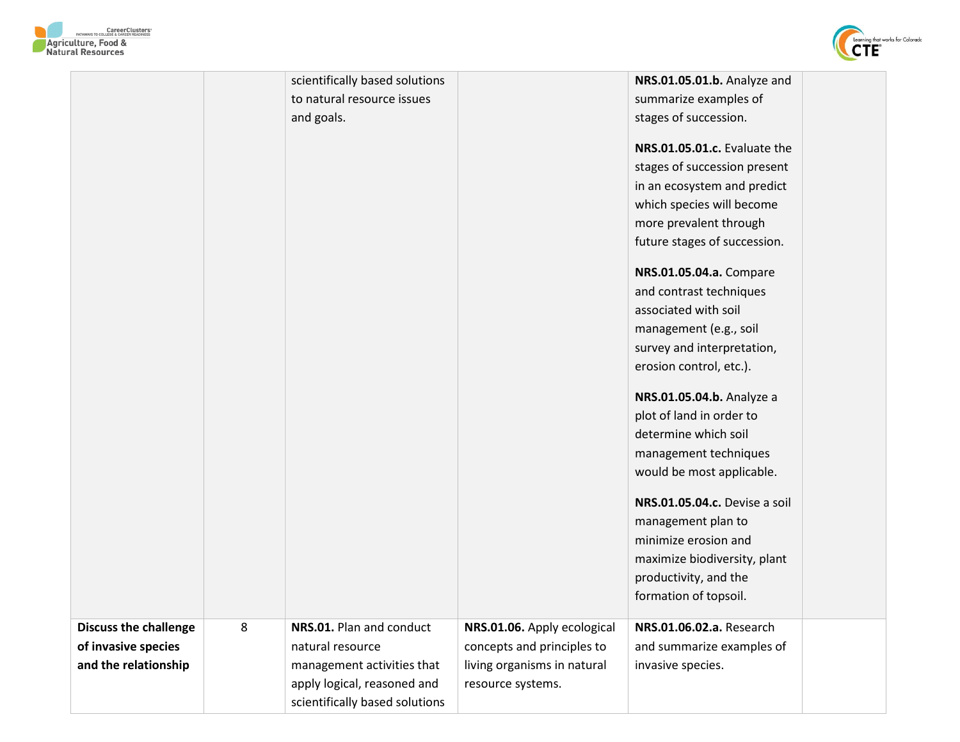



|                              |   | scientifically based solutions |                             | NRS.01.05.01.b. Analyze and   |  |
|------------------------------|---|--------------------------------|-----------------------------|-------------------------------|--|
|                              |   | to natural resource issues     |                             | summarize examples of         |  |
|                              |   | and goals.                     |                             | stages of succession.         |  |
|                              |   |                                |                             |                               |  |
|                              |   |                                |                             | NRS.01.05.01.c. Evaluate the  |  |
|                              |   |                                |                             | stages of succession present  |  |
|                              |   |                                |                             | in an ecosystem and predict   |  |
|                              |   |                                |                             | which species will become     |  |
|                              |   |                                |                             | more prevalent through        |  |
|                              |   |                                |                             | future stages of succession.  |  |
|                              |   |                                |                             | NRS.01.05.04.a. Compare       |  |
|                              |   |                                |                             | and contrast techniques       |  |
|                              |   |                                |                             | associated with soil          |  |
|                              |   |                                |                             | management (e.g., soil        |  |
|                              |   |                                |                             | survey and interpretation,    |  |
|                              |   |                                |                             | erosion control, etc.).       |  |
|                              |   |                                |                             |                               |  |
|                              |   |                                |                             | NRS.01.05.04.b. Analyze a     |  |
|                              |   |                                |                             | plot of land in order to      |  |
|                              |   |                                |                             | determine which soil          |  |
|                              |   |                                |                             | management techniques         |  |
|                              |   |                                |                             | would be most applicable.     |  |
|                              |   |                                |                             | NRS.01.05.04.c. Devise a soil |  |
|                              |   |                                |                             | management plan to            |  |
|                              |   |                                |                             | minimize erosion and          |  |
|                              |   |                                |                             | maximize biodiversity, plant  |  |
|                              |   |                                |                             | productivity, and the         |  |
|                              |   |                                |                             | formation of topsoil.         |  |
|                              |   |                                |                             |                               |  |
| <b>Discuss the challenge</b> | 8 | NRS.01. Plan and conduct       | NRS.01.06. Apply ecological | NRS.01.06.02.a. Research      |  |
| of invasive species          |   | natural resource               | concepts and principles to  | and summarize examples of     |  |
| and the relationship         |   | management activities that     | living organisms in natural | invasive species.             |  |
|                              |   | apply logical, reasoned and    | resource systems.           |                               |  |
|                              |   | scientifically based solutions |                             |                               |  |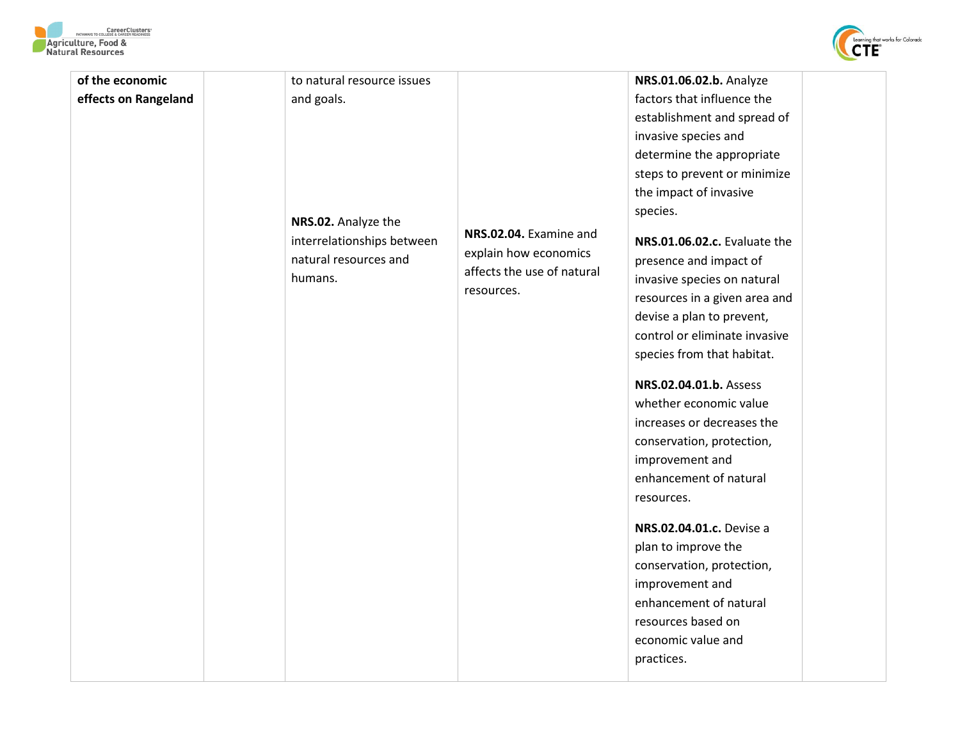



| to natural resource issues<br>effects on Rangeland<br>factors that influence the<br>and goals.<br>establishment and spread of<br>invasive species and<br>determine the appropriate<br>steps to prevent or minimize<br>the impact of invasive<br>species.<br>NRS.02. Analyze the<br>NRS.02.04. Examine and<br>interrelationships between<br>NRS.01.06.02.c. Evaluate the<br>explain how economics<br>natural resources and<br>presence and impact of<br>affects the use of natural<br>humans.<br>invasive species on natural<br>resources.<br>resources in a given area and<br>devise a plan to prevent,<br>control or eliminate invasive<br>species from that habitat.<br>NRS.02.04.01.b. Assess<br>whether economic value<br>increases or decreases the<br>conservation, protection,<br>improvement and<br>enhancement of natural<br>resources.<br>NRS.02.04.01.c. Devise a<br>plan to improve the<br>conservation, protection,<br>improvement and<br>enhancement of natural<br>resources based on<br>economic value and<br>practices. |                 |  |                         |
|-----------------------------------------------------------------------------------------------------------------------------------------------------------------------------------------------------------------------------------------------------------------------------------------------------------------------------------------------------------------------------------------------------------------------------------------------------------------------------------------------------------------------------------------------------------------------------------------------------------------------------------------------------------------------------------------------------------------------------------------------------------------------------------------------------------------------------------------------------------------------------------------------------------------------------------------------------------------------------------------------------------------------------------------|-----------------|--|-------------------------|
|                                                                                                                                                                                                                                                                                                                                                                                                                                                                                                                                                                                                                                                                                                                                                                                                                                                                                                                                                                                                                                         | of the economic |  | NRS.01.06.02.b. Analyze |
|                                                                                                                                                                                                                                                                                                                                                                                                                                                                                                                                                                                                                                                                                                                                                                                                                                                                                                                                                                                                                                         |                 |  |                         |
|                                                                                                                                                                                                                                                                                                                                                                                                                                                                                                                                                                                                                                                                                                                                                                                                                                                                                                                                                                                                                                         |                 |  |                         |
|                                                                                                                                                                                                                                                                                                                                                                                                                                                                                                                                                                                                                                                                                                                                                                                                                                                                                                                                                                                                                                         |                 |  |                         |
|                                                                                                                                                                                                                                                                                                                                                                                                                                                                                                                                                                                                                                                                                                                                                                                                                                                                                                                                                                                                                                         |                 |  |                         |
|                                                                                                                                                                                                                                                                                                                                                                                                                                                                                                                                                                                                                                                                                                                                                                                                                                                                                                                                                                                                                                         |                 |  |                         |
|                                                                                                                                                                                                                                                                                                                                                                                                                                                                                                                                                                                                                                                                                                                                                                                                                                                                                                                                                                                                                                         |                 |  |                         |
|                                                                                                                                                                                                                                                                                                                                                                                                                                                                                                                                                                                                                                                                                                                                                                                                                                                                                                                                                                                                                                         |                 |  |                         |
|                                                                                                                                                                                                                                                                                                                                                                                                                                                                                                                                                                                                                                                                                                                                                                                                                                                                                                                                                                                                                                         |                 |  |                         |
|                                                                                                                                                                                                                                                                                                                                                                                                                                                                                                                                                                                                                                                                                                                                                                                                                                                                                                                                                                                                                                         |                 |  |                         |
|                                                                                                                                                                                                                                                                                                                                                                                                                                                                                                                                                                                                                                                                                                                                                                                                                                                                                                                                                                                                                                         |                 |  |                         |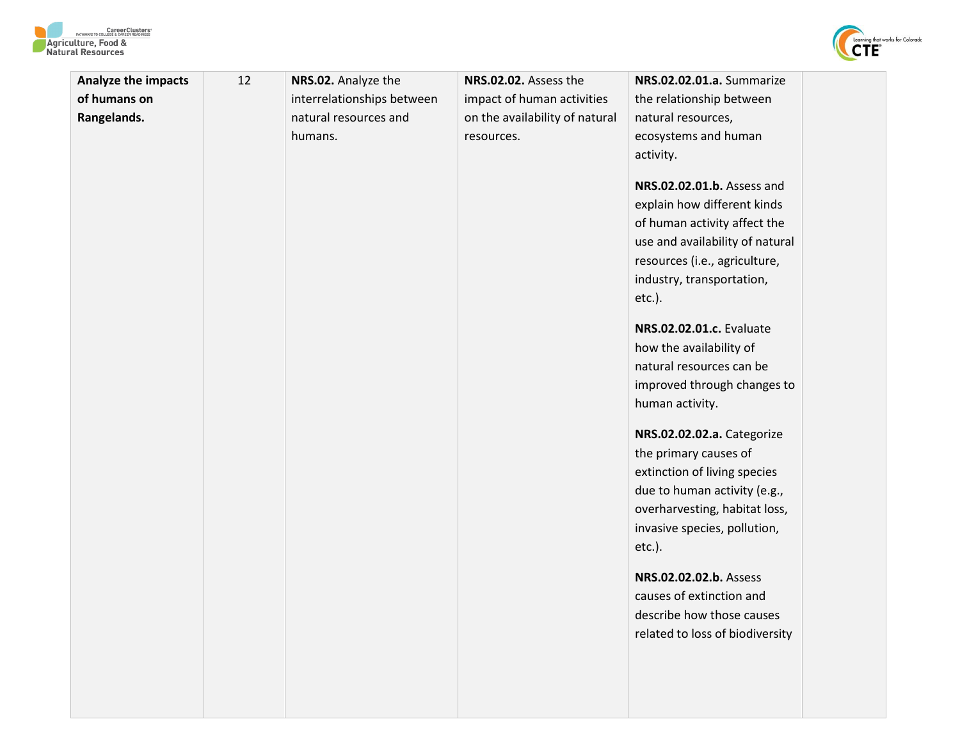



| <b>Analyze the impacts</b> | 12 | NRS.02. Analyze the        | NRS.02.02. Assess the          | NRS.02.02.01.a. Summarize                                                                                                                                                                                                                                                                                                                                                                                                                                                                                                                                                                                                                                               |
|----------------------------|----|----------------------------|--------------------------------|-------------------------------------------------------------------------------------------------------------------------------------------------------------------------------------------------------------------------------------------------------------------------------------------------------------------------------------------------------------------------------------------------------------------------------------------------------------------------------------------------------------------------------------------------------------------------------------------------------------------------------------------------------------------------|
| of humans on               |    | interrelationships between | impact of human activities     | the relationship between                                                                                                                                                                                                                                                                                                                                                                                                                                                                                                                                                                                                                                                |
| Rangelands.                |    | natural resources and      | on the availability of natural | natural resources,                                                                                                                                                                                                                                                                                                                                                                                                                                                                                                                                                                                                                                                      |
|                            |    | humans.                    | resources.                     | ecosystems and human                                                                                                                                                                                                                                                                                                                                                                                                                                                                                                                                                                                                                                                    |
|                            |    |                            |                                | activity.                                                                                                                                                                                                                                                                                                                                                                                                                                                                                                                                                                                                                                                               |
|                            |    |                            |                                | NRS.02.02.01.b. Assess and<br>explain how different kinds<br>of human activity affect the<br>use and availability of natural<br>resources (i.e., agriculture,<br>industry, transportation,<br>$etc.$ ).<br>NRS.02.02.01.c. Evaluate<br>how the availability of<br>natural resources can be<br>improved through changes to<br>human activity.<br>NRS.02.02.02.a. Categorize<br>the primary causes of<br>extinction of living species<br>due to human activity (e.g.,<br>overharvesting, habitat loss,<br>invasive species, pollution,<br>$etc.$ ).<br>NRS.02.02.02.b. Assess<br>causes of extinction and<br>describe how those causes<br>related to loss of biodiversity |
|                            |    |                            |                                |                                                                                                                                                                                                                                                                                                                                                                                                                                                                                                                                                                                                                                                                         |
|                            |    |                            |                                |                                                                                                                                                                                                                                                                                                                                                                                                                                                                                                                                                                                                                                                                         |
|                            |    |                            |                                |                                                                                                                                                                                                                                                                                                                                                                                                                                                                                                                                                                                                                                                                         |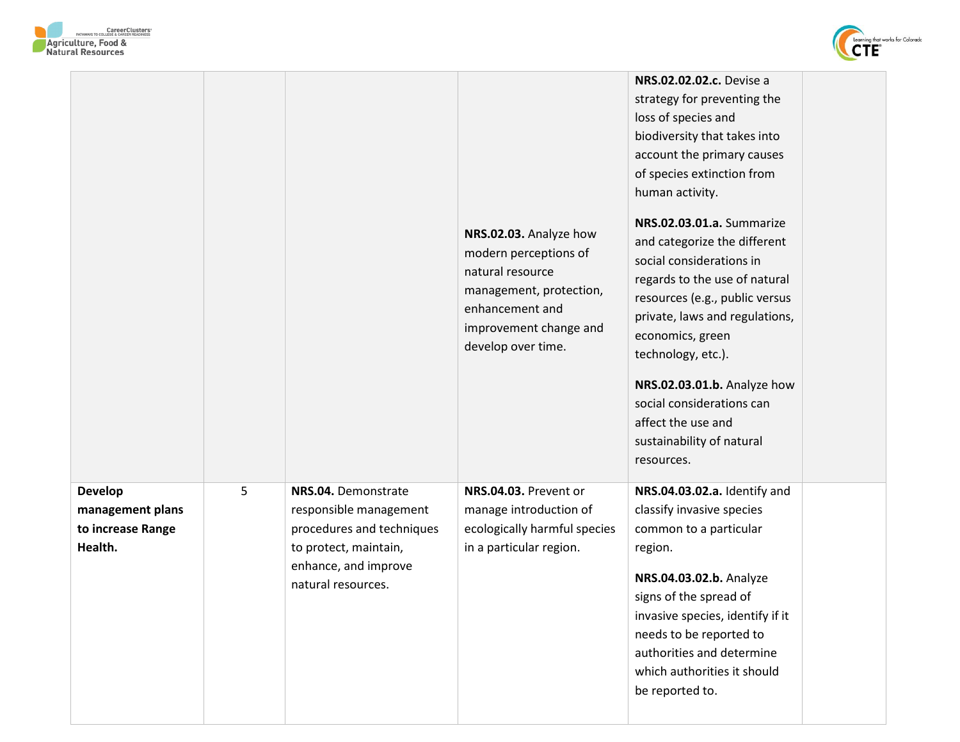



|                                                                    |   |                                                                                                                                                   | NRS.02.03. Analyze how<br>modern perceptions of<br>natural resource<br>management, protection,<br>enhancement and<br>improvement change and<br>develop over time. | NRS.02.02.02.c. Devise a<br>strategy for preventing the<br>loss of species and<br>biodiversity that takes into<br>account the primary causes<br>of species extinction from<br>human activity.<br>NRS.02.03.01.a. Summarize<br>and categorize the different<br>social considerations in<br>regards to the use of natural<br>resources (e.g., public versus<br>private, laws and regulations,<br>economics, green<br>technology, etc.).<br>NRS.02.03.01.b. Analyze how<br>social considerations can<br>affect the use and<br>sustainability of natural<br>resources. |
|--------------------------------------------------------------------|---|---------------------------------------------------------------------------------------------------------------------------------------------------|-------------------------------------------------------------------------------------------------------------------------------------------------------------------|--------------------------------------------------------------------------------------------------------------------------------------------------------------------------------------------------------------------------------------------------------------------------------------------------------------------------------------------------------------------------------------------------------------------------------------------------------------------------------------------------------------------------------------------------------------------|
| <b>Develop</b><br>management plans<br>to increase Range<br>Health. | 5 | NRS.04. Demonstrate<br>responsible management<br>procedures and techniques<br>to protect, maintain,<br>enhance, and improve<br>natural resources. | NRS.04.03. Prevent or<br>manage introduction of<br>ecologically harmful species<br>in a particular region.                                                        | NRS.04.03.02.a. Identify and<br>classify invasive species<br>common to a particular<br>region.<br>NRS.04.03.02.b. Analyze<br>signs of the spread of<br>invasive species, identify if it<br>needs to be reported to<br>authorities and determine<br>which authorities it should<br>be reported to.                                                                                                                                                                                                                                                                  |